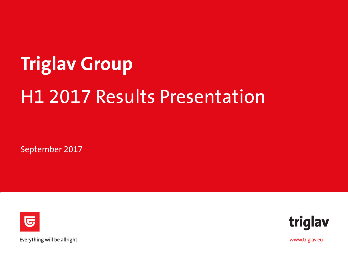# **Triglav Group** H1 2017 Results Presentation

September 2017





Everything will be allright.

www.triglav.eu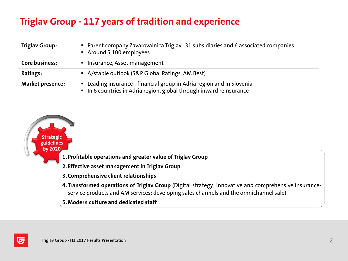## **Triglav Group - 117 years of tradition and experience**

| <b>Triglav Group:</b>   | • Parent company Zavarovalnica Triglav, 31 subsidiaries and 6 associated companies<br>Around 5.100 employees                               |
|-------------------------|--------------------------------------------------------------------------------------------------------------------------------------------|
| Core business:          | ■ Insurance, Asset management                                                                                                              |
| Ratings:                | • A/stable outlook (S&P Global Ratings, AM Best)                                                                                           |
| <b>Market presence:</b> | • Leading insurance - financial group in Adria region and in Slovenia<br>In 6 countries in Adria region, global through inward reinsurance |



G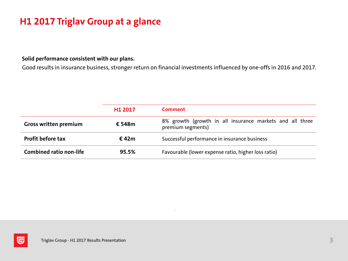## **H1 2017 Triglav Group at a glance**

**Solid performance consistent with our plans.**

Good results in insurance business, stronger return on financial investments influenced by one-offs in 2016 and 2017.

|                                | H <sub>1</sub> 2017 | <b>Comment</b>                                                                |  |  |  |
|--------------------------------|---------------------|-------------------------------------------------------------------------------|--|--|--|
| <b>Gross written premium</b>   | € 548m              | 8% growth (growth in all insurance markets and all three<br>premium segments) |  |  |  |
| <b>Profit before tax</b>       | € 42m               | Successful performance in insurance business                                  |  |  |  |
| <b>Combined ratio non-life</b> | 95.5%               | Favourable (lower expense ratio, higher loss ratio)                           |  |  |  |



匠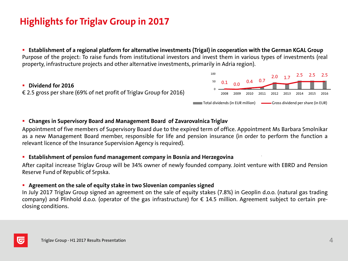## **Highlights for Triglav Group in 2017**

**Example 1** Establishment of a regional platform for alternative investments (Trigal) in cooperation with the German KGAL Group Purpose of the project: To raise funds from institutional investors and invest them in various types of investments (real property, infrastructure projects and other alternative investments, primarily in Adria region).

### **Dividend for 2016** € 2.5 gross per share (69% of net profit of Triglav Group for 2016)



### **Changes in Supervisory Board and Management Board of Zavarovalnica Triglav**

Appointment of five members of Supervisory Board due to the expired term of office. Appointment Ms Barbara Smolnikar as a new Management Board member, responsible for life and pension insurance (in order to perform the function a relevant licence of the Insurance Supervision Agency is required).

#### **Establishment of pension fund management company in Bosnia and Herzegovina**

After capital increase Triglav Group will be 34% owner of newly founded company. Joint venture with EBRD and Pension Reserve Fund of Republic of Srpska.

#### **Agreement on the sale of equity stake in two Slovenian companies signed**

In July 2017 Triglav Group signed an agreement on the sale of equity stakes (7.8%) in Geoplin d.o.o. (natural gas trading company) and Plinhold d.o.o. (operator of the gas infrastructure) for  $\epsilon$  14.5 million. Agreement subject to certain preclosing conditions.

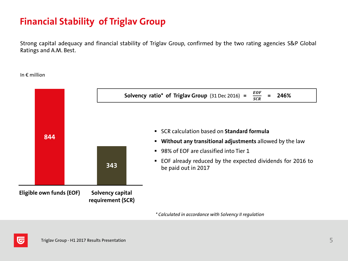## **Financial Stability of Triglav Group**

Strong capital adequacy and financial stability of Triglav Group, confirmed by the two rating agencies S&P Global Ratings and A.M. Best.

In € million



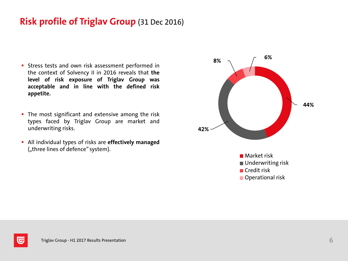## **Risk profile of Triglav Group** (31 Dec 2016)

- **Stress tests and own risk assessment performed in** the context of Solvency II in 2016 reveals that **the level of risk exposure of Triglav Group was acceptable and in line with the defined risk appetite.**
- The most significant and extensive among the risk types faced by Triglav Group are market and underwriting risks.
- All individual types of risks are **effectively managed** ("three lines of defence" system).



lG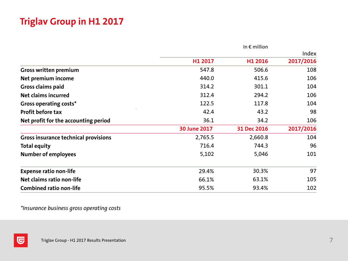## **Triglav Group in H1 2017**

|                                             |                     | In $\epsilon$ million |           |
|---------------------------------------------|---------------------|-----------------------|-----------|
|                                             |                     |                       | Index     |
|                                             | H1 2017             | H1 2016               | 2017/2016 |
| <b>Gross written premium</b>                | 547.8               | 506.6                 | 108       |
| Net premium income                          | 440.0               | 415.6                 | 106       |
| Gross claims paid                           | 314.2               | 301.1                 | 104       |
| Net claims incurred                         | 312.4               | 294.2                 | 106       |
| Gross operating costs*                      | 122.5               | 117.8                 | 104       |
| <b>Profit before tax</b>                    | 42.4                | 43.2                  | 98        |
| Net profit for the accounting period        | 36.1                | 34.2                  | 106       |
|                                             | <b>30 June 2017</b> | 31 Dec 2016           | 2017/2016 |
| <b>Gross insurance technical provisions</b> | 2,765.5             | 2,660.8               | 104       |
| <b>Total equity</b>                         | 716.4               | 744.3                 | 96        |
| <b>Number of employees</b>                  | 5,102               | 5,046                 | 101       |
| <b>Expense ratio non-life</b>               | 29.4%               | 30.3%                 | 97        |
| Net claims ratio non-life                   | 66.1%               | 63.1%                 | 105       |
| <b>Combined ratio non-life</b>              | 95.5%               | 93.4%                 | 102       |

*\*Insurance business gross operating costs*

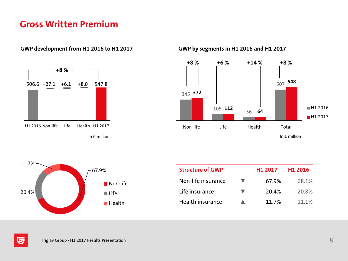## **Gross Written Premium**

#### **GWP development from H1 2016 to H1 2017 GWP by segments in H1 2016 and H1 2017**







| <b>Structure of GWP</b> | H <sub>1</sub> 2017 | H1 2016 |
|-------------------------|---------------------|---------|
| Non-life insurance      | 67.9%               | 68.1%   |
| Life insurance          | 20.4%               | 20.8%   |
| Health insurance        | 11 7%               | 11 1%   |

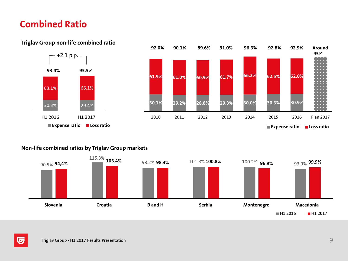## **Combined Ratio**



#### **Triglav Group non-life combined ratio**



#### **Non-life combined ratios by Triglav Group markets**



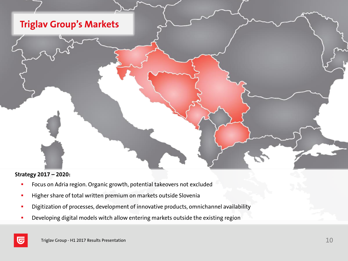

#### **Strategy 2017 – 2020:**

- **FICUS** Focus on Adria region. Organic growth, potential takeovers not excluded
- **Higher share of total written premium on markets outside Slovenia**
- Digitization of processes, development of innovative products, omnichannel availability
- Developing digital models witch allow entering markets outside the existing region

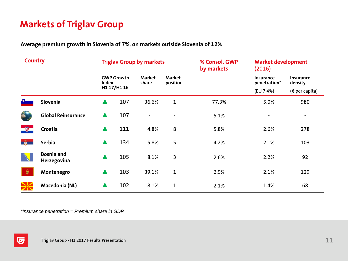## **Markets of Triglav Group**

**Average premium growth in Slovenia of 7%, on markets outside Slovenia of 12%**

| <b>Country</b> |                                  | <b>Triglav Group by markets</b> |                   |                 |                    | % Consol. GWP<br>by markets | <b>Market development</b><br>(2016) |                          |
|----------------|----------------------------------|---------------------------------|-------------------|-----------------|--------------------|-----------------------------|-------------------------------------|--------------------------|
|                |                                  | Index                           | <b>GWP Growth</b> | Market<br>share | Market<br>position |                             | <b>Insurance</b><br>penetration*    | Insurance<br>density     |
|                |                                  |                                 | H1 17/H1 16       |                 |                    |                             | (EU 7.4%)                           | ( $\epsilon$ per capita) |
|                | Slovenia                         | ▲                               | 107               | 36.6%           | 1                  | 77.3%                       | 5.0%                                | 980                      |
|                | <b>Global Reinsurance</b>        | $\blacktriangle$                | 107               |                 |                    | 5.1%                        | $\overline{\phantom{a}}$            | ٠                        |
|                | Croatia                          | $\blacktriangle$                | 111               | 4.8%            | 8                  | 5.8%                        | 2.6%                                | 278                      |
| - 爵            | <b>Serbia</b>                    | $\blacktriangle$                | 134               | 5.8%            | 5                  | 4.2%                        | 2.1%                                | 103                      |
|                | <b>Bosnia and</b><br>Herzegovina | $\blacktriangle$                | 105               | 8.1%            | 3                  | 2.6%                        | 2.2%                                | 92                       |
| 嚫              | Montenegro                       | $\blacktriangle$                | 103               | 39.1%           | 1                  | 2.9%                        | 2.1%                                | 129                      |
|                | Macedonia (NL)                   |                                 | 102               | 18.1%           | 1                  | 2.1%                        | 1.4%                                | 68                       |

*\*Insurance penetration = Premium share in GDP*

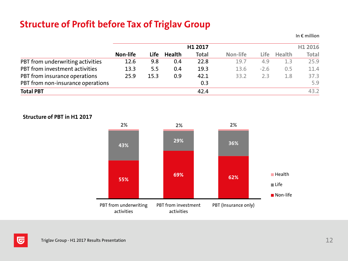## **Structure of Profit before Tax of Triglav Group**

**H1 2017 H1 2016 Non-life Life Health Total Non-life Life Health Total** PBT from underwriting activities 12.6 9.8 0.4 22.8 19.7 4.9 1.3 25.9 PBT from investment activities 13.3 5.5 0.4 19.3 13.6 -2.6 0.5 11.4 PBT from insurance operations 25.9 15.3 0.9 42.1 33.2 2.3 1.8 37.3 PBT from non-insurance operations 6.9 5.9 5.9 **Total PBT** 43.2





In  $f$  million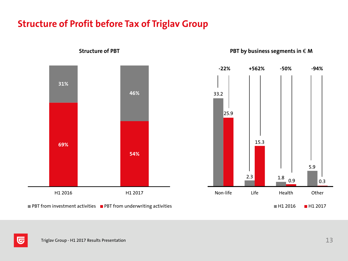## **Structure of Profit before Tax of Triglav Group**



**Structure** of PBT **PBT PBT** *of* **PBT** *of PBT of PBT of of m of m s m o n o n o n o n o n i n o n i n o n i n i n* 



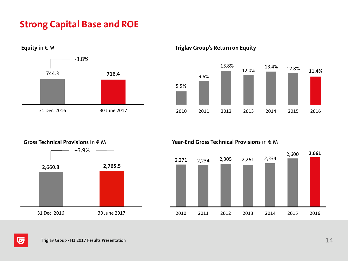## **Strong Capital Base and ROE**



**Equity** in € M **Triglav Group's Return on Equity**



# +3.9% 2,660.8 **2,765.5** 31 Dec. 2016 30 June 2017

**Gross Technical Provisions** in € M **Year-End Gross Technical Provisions** in € M



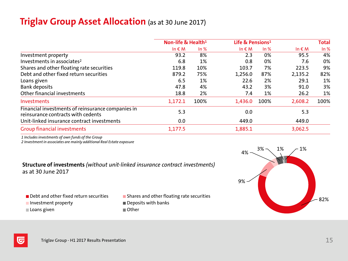## **Triglav Group Asset Allocation** (as at 30 June 2017)

|                                                                                         | Non-life & Health <sup>1</sup> |      | Life & Pensions <sup>1</sup> |      | <b>Total</b>  |      |
|-----------------------------------------------------------------------------------------|--------------------------------|------|------------------------------|------|---------------|------|
|                                                                                         | In $\epsilon$ M                | ln % | In $\notin M$                | ln % | In $\notin M$ | ln % |
| Investment property                                                                     | 93.2                           | 8%   | 2.3                          | 0%   | 95.5          | 4%   |
| Investments in associates <sup>2</sup>                                                  | 6.8                            | 1%   | 0.8                          | 0%   | 7.6           | 0%   |
| Shares and other floating rate securities                                               | 119.8                          | 10%  | 103.7                        | 7%   | 223.5         | 9%   |
| Debt and other fixed return securities                                                  | 879.2                          | 75%  | 1,256.0                      | 87%  | 2,135.2       | 82%  |
| Loans given                                                                             | 6.5                            | 1%   | 22.6                         | 2%   | 29.1          | 1%   |
| <b>Bank deposits</b>                                                                    | 47.8                           | 4%   | 43.2                         | 3%   | 91.0          | 3%   |
| Other financial investments                                                             | 18.8                           | 2%   | 7.4                          | 1%   | 26.2          | 1%   |
| Investments                                                                             | 1,172.1                        | 100% | 1,436.0                      | 100% | 2,608.2       | 100% |
| Financial investments of reinsurance companies in<br>reinsurance contracts with cedents | 5.3                            |      | 0.0                          |      | 5.3           |      |
| Unit-linked insurance contract investments                                              | 0.0                            |      | 449.0                        |      | 449.0         |      |
| <b>Group financial investments</b>                                                      | 1,177.5                        |      | 1,885.1                      |      | 3,062.5       |      |
|                                                                                         |                                |      |                              |      |               |      |

*1 Includes investments of own funds of the Group*

*2 Investment in associates are mainly additional Real Estate exposure*

#### **Structure of investments** *(without unit-linked insurance contract investments)* as at 30 June 2017

- 
- Investment property **Investment** property
- Loans given **Communist Communist Communist Communist Communist Communist Communist Communist Communist Communist Communist Communist Communist Communist Communist Communist Communist Communist Communist Communist Communist**
- $\blacksquare$  Debt and other fixed return securities  $\blacksquare$  Shares and other floating rate securities
	-

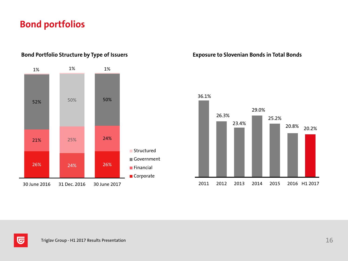## **Bond portfolios**



#### **Bond Portfolio Structure by Type of Issuers Exposure to Slovenian Bonds in Total Bonds**



匠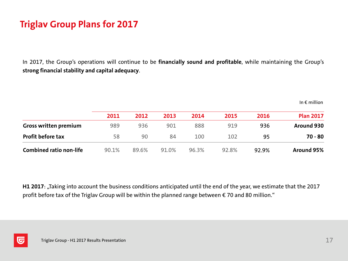## **Triglav Group Plans for 2017**

In 2017, the Group's operations will continue to be **financially sound and profitable**, while maintaining the Group's **strong financial stability and capital adequacy**.

|                                | 2011  | 2012  | 2013  | 2014  | 2015  | 2016  | <b>Plan 2017</b> |
|--------------------------------|-------|-------|-------|-------|-------|-------|------------------|
| <b>Gross written premium</b>   | 989   | 936   | 901   | 888   | 919   | 936   | Around 930       |
| <b>Profit before tax</b>       | 58    | 90    | 84    | 100   | 102   | 95    | 70 - 80          |
| <b>Combined ratio non-life</b> | 90.1% | 89.6% | 91.0% | 96.3% | 92.8% | 92.9% | Around 95%       |

H1 2017: "Taking into account the business conditions anticipated until the end of the year, we estimate that the 2017 profit before tax of the Triglav Group will be within the planned range between € 70 and 80 million."



In  $\epsilon$  million